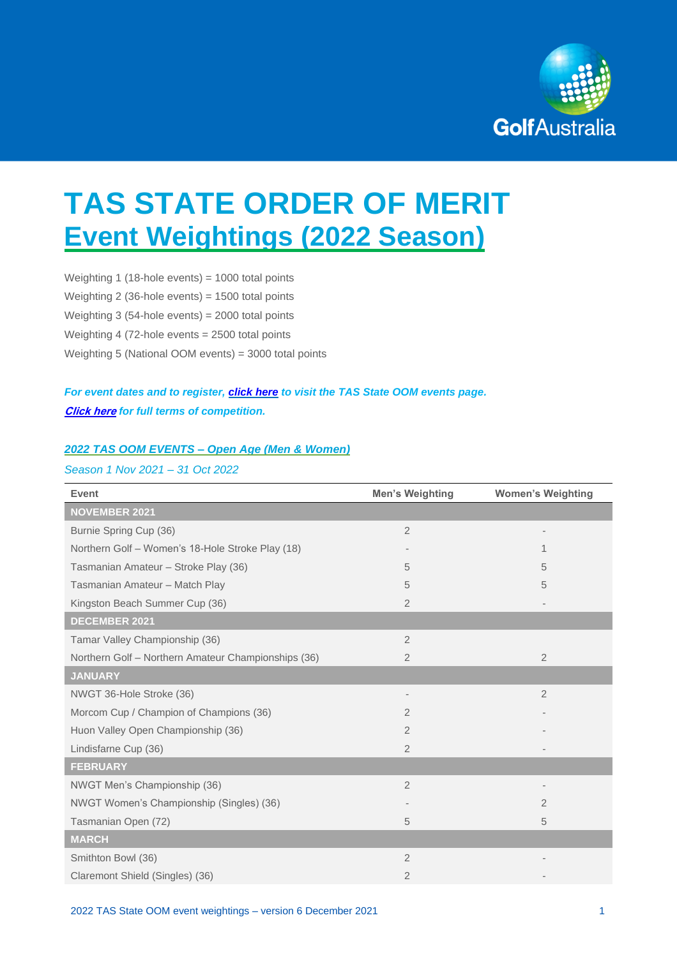

# **TAS STATE ORDER OF MERIT Event Weightings (2022 Season)**

Weighting 1 (18-hole events) = 1000 total points Weighting 2 (36-hole events) = 1500 total points Weighting 3 (54-hole events) = 2000 total points Weighting 4 (72-hole events = 2500 total points Weighting 5 (National OOM events) = 3000 total points

# *For event dates and to register, [click here](https://www.golf.org.au/events#/customer/1090/schedule/2021/10679) to visit the TAS State OOM events page.* **[Click here](https://assets.ctfassets.net/3urhge2ecl20/2jf2QnevfgLSCOKukJbtjV/cfcd868bd1ead9a76bd15c34df663038/TERMS_-_2022_GA_State_Orders_of_Merit.pdf)** *for full terms of competition.*

#### *2022 TAS OOM EVENTS – Open Age (Men & Women)*

#### *Season 1 Nov 2021 – 31 Oct 2022*

| <b>Event</b>                                        | <b>Men's Weighting</b> | <b>Women's Weighting</b> |
|-----------------------------------------------------|------------------------|--------------------------|
| <b>NOVEMBER 2021</b>                                |                        |                          |
| Burnie Spring Cup (36)                              | $\overline{2}$         |                          |
| Northern Golf - Women's 18-Hole Stroke Play (18)    |                        | 1                        |
| Tasmanian Amateur - Stroke Play (36)                | 5                      | 5                        |
| Tasmanian Amateur - Match Play                      | 5                      | 5                        |
| Kingston Beach Summer Cup (36)                      | $\overline{2}$         |                          |
| DECEMBER 2021                                       |                        |                          |
| Tamar Valley Championship (36)                      | $\overline{2}$         |                          |
| Northern Golf - Northern Amateur Championships (36) | $\overline{2}$         | $\overline{2}$           |
| <b>JANUARY</b>                                      |                        |                          |
| NWGT 36-Hole Stroke (36)                            |                        | $\overline{2}$           |
| Morcom Cup / Champion of Champions (36)             | $\overline{2}$         |                          |
| Huon Valley Open Championship (36)                  | $\overline{2}$         |                          |
| Lindisfarne Cup (36)                                | $\overline{2}$         |                          |
| <b>FEBRUARY</b>                                     |                        |                          |
| NWGT Men's Championship (36)                        | $\overline{2}$         |                          |
| NWGT Women's Championship (Singles) (36)            |                        | 2                        |
| Tasmanian Open (72)                                 | 5                      | 5                        |
| <b>MARCH</b>                                        |                        |                          |
| Smithton Bowl (36)                                  | $\overline{2}$         |                          |
| Claremont Shield (Singles) (36)                     | $\overline{2}$         |                          |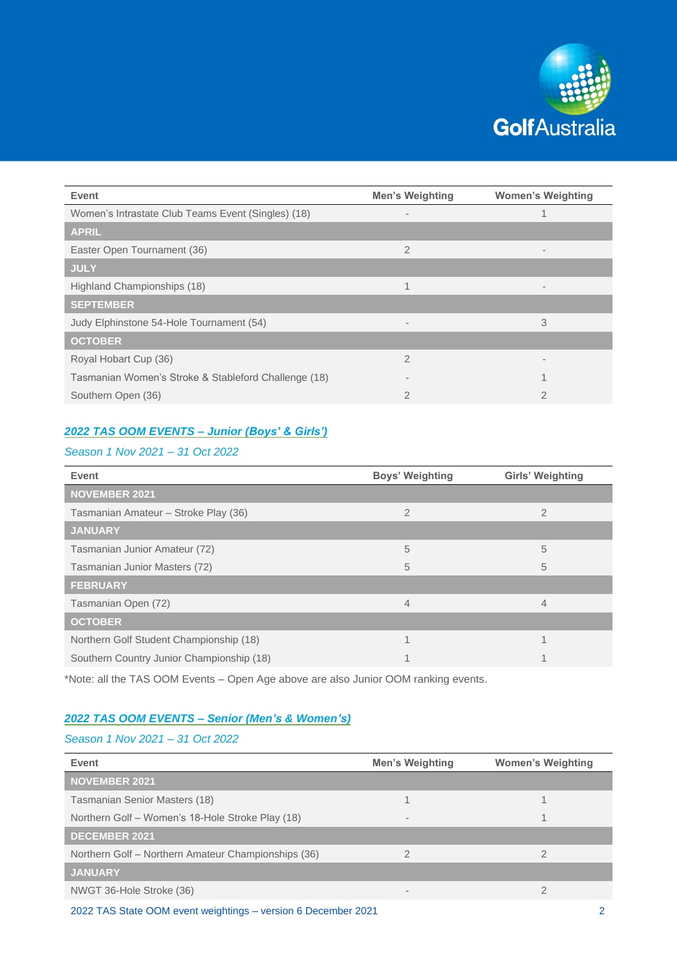

| <b>Event</b>                                         | <b>Men's Weighting</b>   | <b>Women's Weighting</b>     |
|------------------------------------------------------|--------------------------|------------------------------|
| Women's Intrastate Club Teams Event (Singles) (18)   | $\overline{\phantom{a}}$ |                              |
| <b>APRIL</b>                                         |                          |                              |
| Easter Open Tournament (36)                          | $\overline{2}$           | $\overline{\phantom{a}}$     |
| <b>JULY</b>                                          |                          |                              |
| Highland Championships (18)                          | 1                        | $\qquad \qquad \blacksquare$ |
| <b>SEPTEMBER</b>                                     |                          |                              |
| Judy Elphinstone 54-Hole Tournament (54)             | $\overline{\phantom{a}}$ | 3                            |
| <b>OCTOBER</b>                                       |                          |                              |
| Royal Hobart Cup (36)                                | $\overline{2}$           |                              |
| Tasmanian Women's Stroke & Stableford Challenge (18) |                          |                              |
| Southern Open (36)                                   | $\overline{2}$           | $\overline{2}$               |

# *2022 TAS OOM EVENTS – Junior (Boys' & Girls')*

### *Season 1 Nov 2021 – 31 Oct 2022*

| Event                                     | <b>Boys' Weighting</b> | Girls' Weighting |
|-------------------------------------------|------------------------|------------------|
| <b>NOVEMBER 2021</b>                      |                        |                  |
| Tasmanian Amateur - Stroke Play (36)      | $\overline{2}$         | $\overline{2}$   |
| <b>JANUARY</b>                            |                        |                  |
| Tasmanian Junior Amateur (72)             | 5                      | 5                |
| Tasmanian Junior Masters (72)             | 5                      | 5                |
| <b>FEBRUARY</b>                           |                        |                  |
| Tasmanian Open (72)                       | $\overline{4}$         | 4                |
| <b>OCTOBER</b>                            |                        |                  |
| Northern Golf Student Championship (18)   | и                      |                  |
| Southern Country Junior Championship (18) |                        |                  |

\*Note: all the TAS OOM Events – Open Age above are also Junior OOM ranking events.

## *2022 TAS OOM EVENTS – Senior (Men's & Women's)*

#### *Season 1 Nov 2021 – 31 Oct 2022*

| <b>Men's Weighting</b>   | <b>Women's Weighting</b> |
|--------------------------|--------------------------|
|                          |                          |
|                          |                          |
| $\overline{\phantom{a}}$ |                          |
|                          |                          |
|                          |                          |
|                          |                          |
| $\overline{\phantom{a}}$ |                          |
|                          |                          |

2022 TAS State OOM event weightings – version 6 December 2021 2